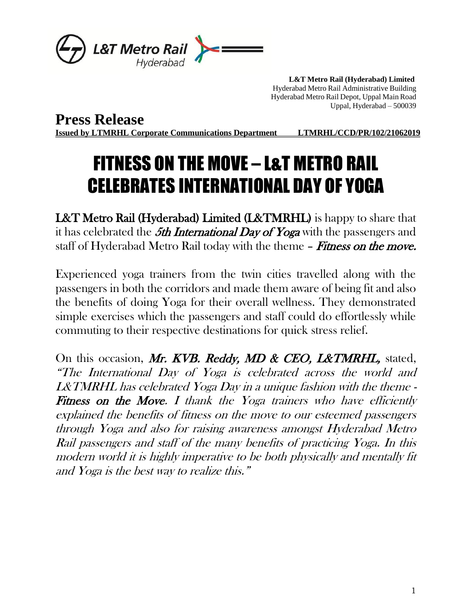

 **L&T Metro Rail (Hyderabad) Limited** Hyderabad Metro Rail Administrative Building Hyderabad Metro Rail Depot, Uppal Main Road Uppal, Hyderabad – 500039

**Press Release Issued by LTMRHL Corporate Communications Department LTMRHL/CCD/PR/102/21062019**

## FITNESS ON THE MOVE – L&T METRO RAIL CELEBRATES INTERNATIONAL DAY OF YOGA

L&T Metro Rail (Hyderabad) Limited (L&TMRHL) is happy to share that it has celebrated the  $5th$  International Day of Yoga with the passengers and staff of Hyderabad Metro Rail today with the theme - Fitness on the move.

Experienced yoga trainers from the twin cities travelled along with the passengers in both the corridors and made them aware of being fit and also the benefits of doing Yoga for their overall wellness. They demonstrated simple exercises which the passengers and staff could do effortlessly while commuting to their respective destinations for quick stress relief.

On this occasion, Mr. KVB. Reddy, MD & CEO, L&TMRHL, stated, "The International Day of Yoga is celebrated across the world and L&TMRHL has celebrated Yoga Day in a unique fashion with the theme - Fitness on the Move. I thank the Yoga trainers who have efficiently explained the benefits of fitness on the move to our esteemed passengers through Yoga and also for raising awareness amongst Hyderabad Metro Rail passengers and staff of the many benefits of practicing Yoga. In this modern world it is highly imperative to be both physically and mentally fit and Yoga is the best way to realize this."